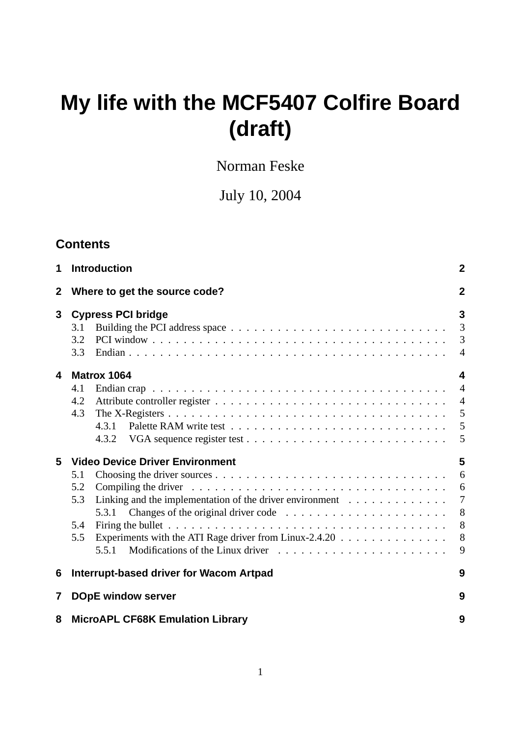# **My life with the MCF5407 Colfire Board (draft)**

Norman Feske

July 10, 2004

## **Contents**

| $\mathbf 1$  | <b>Introduction</b>                                                                                                                                                                                                                                                                                                                                                             | $\mathbf 2$                                           |  |  |  |  |
|--------------|---------------------------------------------------------------------------------------------------------------------------------------------------------------------------------------------------------------------------------------------------------------------------------------------------------------------------------------------------------------------------------|-------------------------------------------------------|--|--|--|--|
| $\mathbf{2}$ | Where to get the source code?                                                                                                                                                                                                                                                                                                                                                   |                                                       |  |  |  |  |
| 3            | <b>Cypress PCI bridge</b><br>3.1<br>3.2<br>3.3                                                                                                                                                                                                                                                                                                                                  | $\mathbf{3}$<br>$\overline{3}$<br>3<br>$\overline{4}$ |  |  |  |  |
| 4            | Matrox 1064<br>4.1<br>4.2<br>4.3<br>4.3.1<br>4.3.2                                                                                                                                                                                                                                                                                                                              | 4<br>$\overline{4}$<br>$\overline{4}$<br>5<br>5<br>5  |  |  |  |  |
| 5            | <b>Video Device Driver Environment</b><br>5.1<br>5.2<br>Compiling the driver $\dots \dots \dots \dots \dots \dots \dots \dots \dots \dots \dots \dots \dots$<br>Linking and the implementation of the driver environment $\dots \dots \dots \dots$<br>5.3<br>5.4<br>Experiments with the ATI Rage driver from Linux-2.4.20 $\ldots \ldots \ldots \ldots \ldots$<br>5.5<br>5.5.1 | 5<br>6<br>6<br>$\overline{7}$<br>8<br>8<br>8<br>9     |  |  |  |  |
| 6            | Interrupt-based driver for Wacom Artpad                                                                                                                                                                                                                                                                                                                                         | 9                                                     |  |  |  |  |
| 7            | <b>DOpE window server</b>                                                                                                                                                                                                                                                                                                                                                       | 9                                                     |  |  |  |  |
| 8            | <b>MicroAPL CF68K Emulation Library</b>                                                                                                                                                                                                                                                                                                                                         | 9                                                     |  |  |  |  |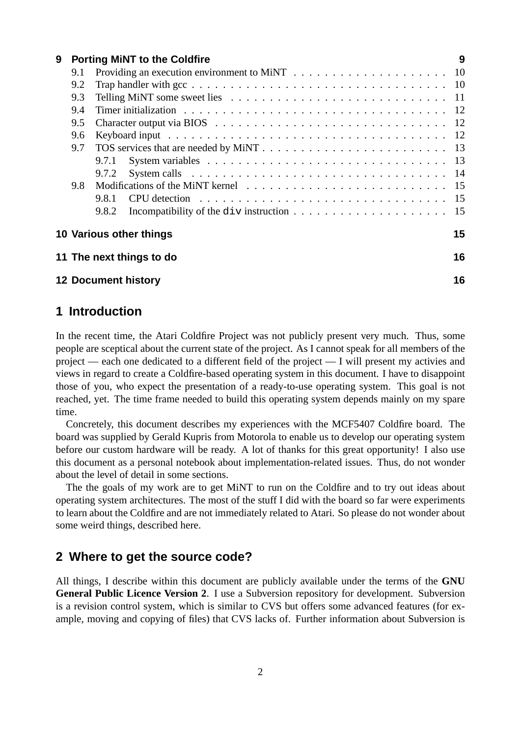| 9 |     | <b>Porting MINT to the Coldfire</b>                                                                                     | 9  |  |  |  |  |
|---|-----|-------------------------------------------------------------------------------------------------------------------------|----|--|--|--|--|
|   | 9.1 |                                                                                                                         |    |  |  |  |  |
|   | 9.2 |                                                                                                                         |    |  |  |  |  |
|   | 9.3 |                                                                                                                         |    |  |  |  |  |
|   | 9.4 |                                                                                                                         |    |  |  |  |  |
|   | 9.5 |                                                                                                                         |    |  |  |  |  |
|   | 9.6 |                                                                                                                         |    |  |  |  |  |
|   | 9.7 |                                                                                                                         |    |  |  |  |  |
|   |     | 9.7.1                                                                                                                   |    |  |  |  |  |
|   |     | System calls $\dots \dots \dots \dots \dots \dots \dots \dots \dots \dots \dots \dots \dots \dots \dots \dots$<br>9.7.2 |    |  |  |  |  |
|   | 9.8 |                                                                                                                         |    |  |  |  |  |
|   |     | CPU detection $\ldots \ldots \ldots \ldots \ldots \ldots \ldots \ldots \ldots \ldots \ldots$<br>9.8.1                   |    |  |  |  |  |
|   |     | 9.8.2                                                                                                                   |    |  |  |  |  |
|   |     | 10 Various other things                                                                                                 | 15 |  |  |  |  |
|   |     | 11 The next things to do                                                                                                | 16 |  |  |  |  |
|   |     | <b>12 Document history</b>                                                                                              | 16 |  |  |  |  |

## **1 Introduction**

In the recent time, the Atari Coldfire Project was not publicly present very much. Thus, some people are sceptical about the current state of the project. As I cannot speak for all members of the project — each one dedicated to a different field of the project — I will present my activies and views in regard to create a Coldfire-based operating system in this document. I have to disappoint those of you, who expect the presentation of a ready-to-use operating system. This goal is not reached, yet. The time frame needed to build this operating system depends mainly on my spare time.

Concretely, this document describes my experiences with the MCF5407 Coldfire board. The board was supplied by Gerald Kupris from Motorola to enable us to develop our operating system before our custom hardware will be ready. A lot of thanks for this great opportunity! I also use this document as a personal notebook about implementation-related issues. Thus, do not wonder about the level of detail in some sections.

The the goals of my work are to get MiNT to run on the Coldfire and to try out ideas about operating system architectures. The most of the stuff I did with the board so far were experiments to learn about the Coldfire and are not immediately related to Atari. So please do not wonder about some weird things, described here.

## **2 Where to get the source code?**

All things, I describe within this document are publicly available under the terms of the **GNU General Public Licence Version 2**. I use a Subversion repository for development. Subversion is a revision control system, which is similar to CVS but offers some advanced features (for example, moving and copying of files) that CVS lacks of. Further information about Subversion is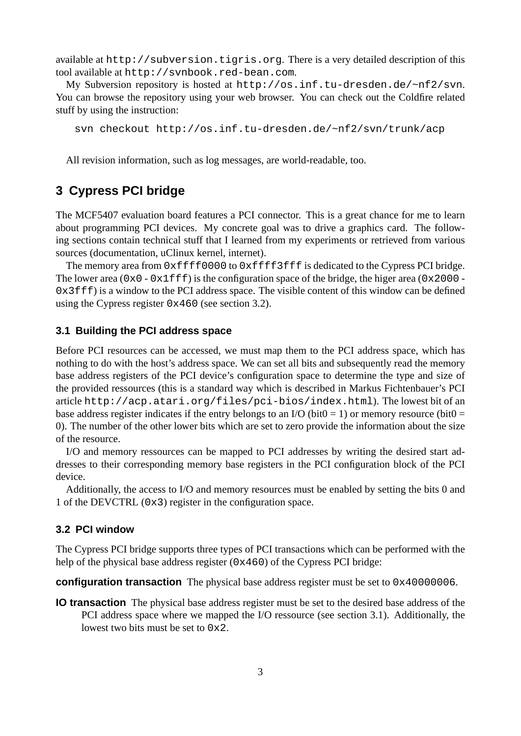available at http://subversion.tigris.org. There is a very detailed description of this tool available at http://svnbook.red-bean.com.

My Subversion repository is hosted at http://os.inf.tu-dresden.de/~nf2/svn. You can browse the repository using your web browser. You can check out the Coldfire related stuff by using the instruction:

svn checkout http://os.inf.tu-dresden.de/~nf2/svn/trunk/acp

All revision information, such as log messages, are world-readable, too.

## **3 Cypress PCI bridge**

The MCF5407 evaluation board features a PCI connector. This is a great chance for me to learn about programming PCI devices. My concrete goal was to drive a graphics card. The following sections contain technical stuff that I learned from my experiments or retrieved from various sources (documentation, uClinux kernel, internet).

The memory area from  $0xffff0000$  to  $0xffff3fff$  is dedicated to the Cypress PCI bridge. The lower area ( $0x0 - 0x1fff$ ) is the configuration space of the bridge, the higer area ( $0x2000 - 1$ 0x3fff) is a window to the PCI address space. The visible content of this window can be defined using the Cypress register 0x460 (see section 3.2).

## **3.1 Building the PCI address space**

Before PCI resources can be accessed, we must map them to the PCI address space, which has nothing to do with the host's address space. We can set all bits and subsequently read the memory base address registers of the PCI device's configuration space to determine the type and size of the provided ressources (this is a standard way which is described in Markus Fichtenbauer's PCI article http://acp.atari.org/files/pci-bios/index.html). The lowest bit of an base address register indicates if the entry belongs to an I/O (bit $0 = 1$ ) or memory resource (bit $0 = 1$ ) 0). The number of the other lower bits which are set to zero provide the information about the size of the resource.

I/O and memory ressources can be mapped to PCI addresses by writing the desired start addresses to their corresponding memory base registers in the PCI configuration block of the PCI device.

Additionally, the access to I/O and memory resources must be enabled by setting the bits 0 and 1 of the DEVCTRL (0x3) register in the configuration space.

#### **3.2 PCI window**

The Cypress PCI bridge supports three types of PCI transactions which can be performed with the help of the physical base address register (0x460) of the Cypress PCI bridge:

**configuration transaction** The physical base address register must be set to 0x40000006.

**IO transaction** The physical base address register must be set to the desired base address of the PCI address space where we mapped the I/O ressource (see section 3.1). Additionally, the lowest two bits must be set to 0x2.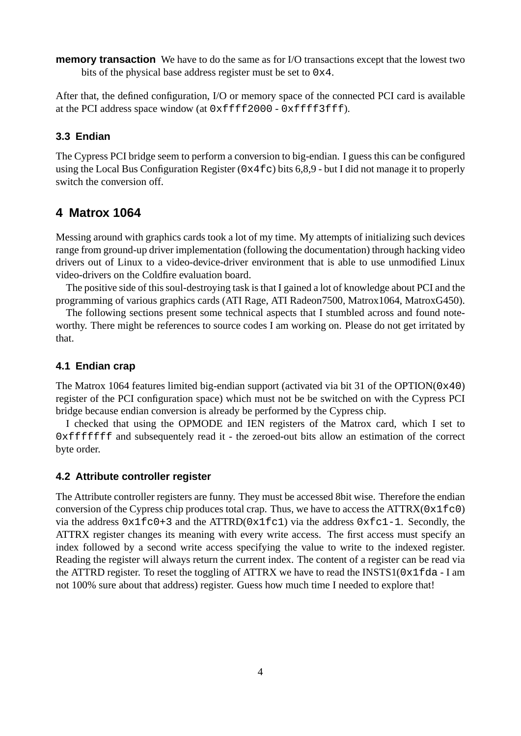**memory transaction** We have to do the same as for I/O transactions except that the lowest two bits of the physical base address register must be set to 0x4.

After that, the defined configuration, I/O or memory space of the connected PCI card is available at the PCI address space window (at 0xffff2000 - 0xffff3fff).

## **3.3 Endian**

The Cypress PCI bridge seem to perform a conversion to big-endian. I guess this can be configured using the Local Bus Configuration Register ( $0 \times 4 \text{ f c}$ ) bits 6,8,9 - but I did not manage it to properly switch the conversion off.

## **4 Matrox 1064**

Messing around with graphics cards took a lot of my time. My attempts of initializing such devices range from ground-up driver implementation (following the documentation) through hacking video drivers out of Linux to a video-device-driver environment that is able to use unmodified Linux video-drivers on the Coldfire evaluation board.

The positive side of this soul-destroying task is that I gained a lot of knowledge about PCI and the programming of various graphics cards (ATI Rage, ATI Radeon7500, Matrox1064, MatroxG450).

The following sections present some technical aspects that I stumbled across and found noteworthy. There might be references to source codes I am working on. Please do not get irritated by that.

## **4.1 Endian crap**

The Matrox 1064 features limited big-endian support (activated via bit 31 of the OPTION(0x40) register of the PCI configuration space) which must not be be switched on with the Cypress PCI bridge because endian conversion is already be performed by the Cypress chip.

I checked that using the OPMODE and IEN registers of the Matrox card, which I set to 0xfffffff and subsequentely read it - the zeroed-out bits allow an estimation of the correct byte order.

## **4.2 Attribute controller register**

The Attribute controller registers are funny. They must be accessed 8bit wise. Therefore the endian conversion of the Cypress chip produces total crap. Thus, we have to access the  $\text{ATTRX}(0 \times 1 \text{fc0})$ via the address  $0x1fc0+3$  and the ATTRD( $0x1fc1$ ) via the address  $0xfc1-1$ . Secondly, the ATTRX register changes its meaning with every write access. The first access must specify an index followed by a second write access specifying the value to write to the indexed register. Reading the register will always return the current index. The content of a register can be read via the ATTRD register. To reset the toggling of ATTRX we have to read the INSTS1( $0x1fda - I$  am not 100% sure about that address) register. Guess how much time I needed to explore that!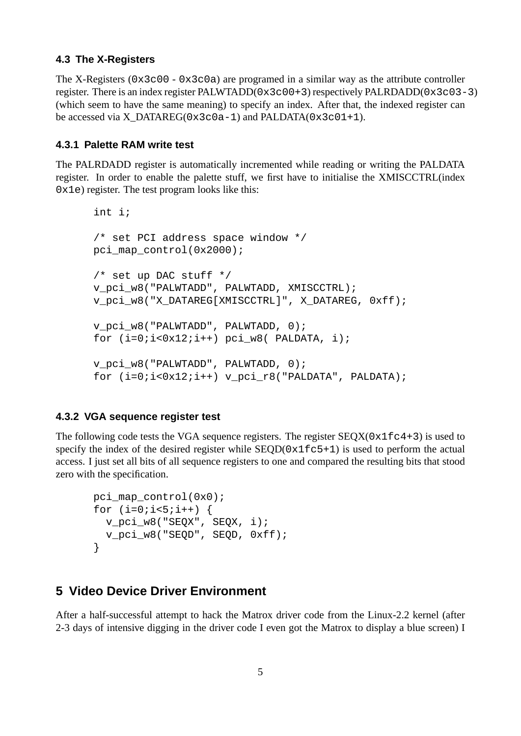## **4.3 The X-Registers**

The X-Registers (0x3c00 - 0x3c0a) are programed in a similar way as the attribute controller register. There is an index register PALWTADD(0x3c00+3) respectively PALRDADD(0x3c03-3) (which seem to have the same meaning) to specify an index. After that, the indexed register can be accessed via X\_DATAREG(0x3c0a-1) and PALDATA(0x3c01+1).

## **4.3.1 Palette RAM write test**

The PALRDADD register is automatically incremented while reading or writing the PALDATA register. In order to enable the palette stuff, we first have to initialise the XMISCCTRL(index  $0x1e$ ) register. The test program looks like this:

```
int i;
/* set PCI address space window */
pci_map_control(0x2000);
/* set up DAC stuff */
v_pci_w8("PALWTADD", PALWTADD, XMISCCTRL);
v_pci_w8("X_DATAREG[XMISCCTRL]", X_DATAREG, 0xff);
v pci w8("PALWTADD", PALWTADD, 0);
for (i=0,i<0x12;i++) pci_w8( PALDATA, i);
v pci w8("PALWTADD", PALWTADD, 0);
for (i=0;i<0x12;i++) v_pci_r8("PALDATA", PALDATA);
```
#### **4.3.2 VGA sequence register test**

The following code tests the VGA sequence registers. The register  $SEQX(0x1fc4+3)$  is used to specify the index of the desired register while  $SEQD(0x1fc5+1)$  is used to perform the actual access. I just set all bits of all sequence registers to one and compared the resulting bits that stood zero with the specification.

```
pci_map_control(0x0);
for (i=0; i<5; i++) {
  v_pci_w8("SEQX", SEQX, i);
  v_pci_w8("SEQD", SEQD, 0xff);
}
```
## **5 Video Device Driver Environment**

After a half-successful attempt to hack the Matrox driver code from the Linux-2.2 kernel (after 2-3 days of intensive digging in the driver code I even got the Matrox to display a blue screen) I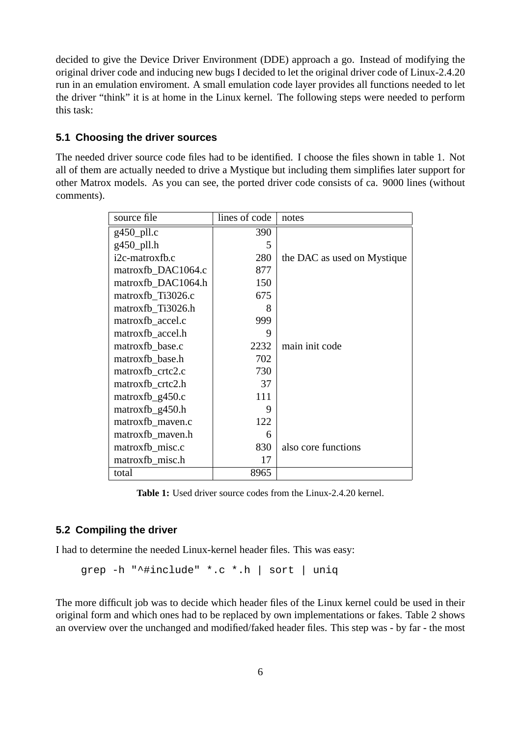decided to give the Device Driver Environment (DDE) approach a go. Instead of modifying the original driver code and inducing new bugs I decided to let the original driver code of Linux-2.4.20 run in an emulation enviroment. A small emulation code layer provides all functions needed to let the driver "think" it is at home in the Linux kernel. The following steps were needed to perform this task:

## **5.1 Choosing the driver sources**

The needed driver source code files had to be identified. I choose the files shown in table 1. Not all of them are actually needed to drive a Mystique but including them simplifies later support for other Matrox models. As you can see, the ported driver code consists of ca. 9000 lines (without comments).

| source file        | lines of code | notes                       |
|--------------------|---------------|-----------------------------|
| $g450$ _pll.c      | 390           |                             |
| g450_pll.h         | 5             |                             |
| i2c-matroxfb.c     | 280           | the DAC as used on Mystique |
| matroxfb_DAC1064.c | 877           |                             |
| matroxfb DAC1064.h | 150           |                             |
| matroxfb Ti3026.c  | 675           |                             |
| matroxfb_Ti3026.h  | 8             |                             |
| matroxfb_accel.c   | 999           |                             |
| matroxfb_accel.h   | 9             |                             |
| matroxfb base.c    | 2232          | main init code              |
| matroxfb_base.h    | 702           |                             |
| matroxfb_crtc2.c   | 730           |                             |
| matroxfb_crtc2.h   | 37            |                             |
| $matroxfb_g450.c$  | 111           |                             |
| matroxfb_g450.h    | 9             |                             |
| matroxfb_maven.c   | 122           |                             |
| matroxfb_maven.h   | 6             |                             |
| matroxfb_misc.c    | 830           | also core functions         |
| matroxfb_misc.h    | 17            |                             |
| total              | 8965          |                             |

**Table 1:** Used driver source codes from the Linux-2.4.20 kernel.

## **5.2 Compiling the driver**

I had to determine the needed Linux-kernel header files. This was easy:

grep -h "^#include" \*.c \*.h | sort | uniq

The more difficult job was to decide which header files of the Linux kernel could be used in their original form and which ones had to be replaced by own implementations or fakes. Table 2 shows an overview over the unchanged and modified/faked header files. This step was - by far - the most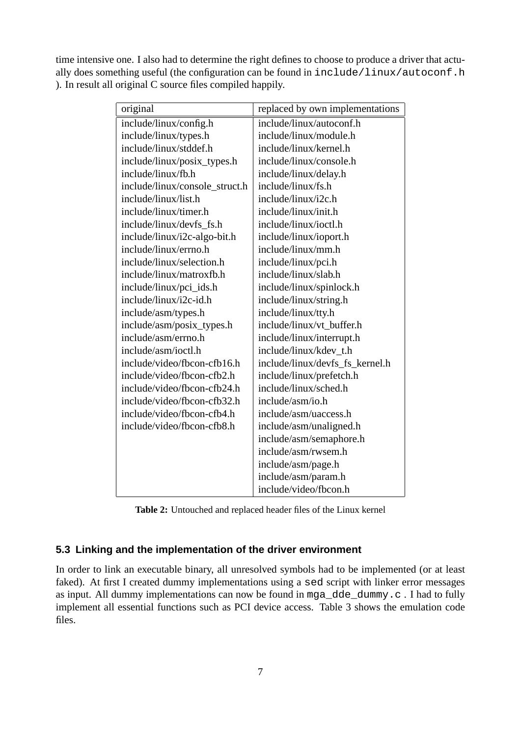time intensive one. I also had to determine the right defines to choose to produce a driver that actually does something useful (the configuration can be found in include/linux/autoconf.h ). In result all original C source files compiled happily.

| original                       | replaced by own implementations |
|--------------------------------|---------------------------------|
| include/linux/config.h         | include/linux/autoconf.h        |
| include/linux/types.h          | include/linux/module.h          |
| include/linux/stddef.h         | include/linux/kernel.h          |
| include/linux/posix_types.h    | include/linux/console.h         |
| include/linux/fb.h             | include/linux/delay.h           |
| include/linux/console_struct.h | include/linux/fs.h              |
| include/linux/list.h           | include/linux/i2c.h             |
| include/linux/timer.h          | include/linux/init.h            |
| include/linux/devfs fs.h       | include/linux/ioctl.h           |
| include/linux/i2c-algo-bit.h   | include/linux/ioport.h          |
| include/linux/errno.h          | include/linux/mm.h              |
| include/linux/selection.h      | include/linux/pci.h             |
| include/linux/matroxfb.h       | include/linux/slab.h            |
| include/linux/pci_ids.h        | include/linux/spinlock.h        |
| include/linux/i2c-id.h         | include/linux/string.h          |
| include/asm/types.h            | include/linux/tty.h             |
| include/asm/posix_types.h      | include/linux/vt buffer.h       |
| include/asm/errno.h            | include/linux/interrupt.h       |
| include/asm/ioctl.h            | include/linux/kdev t.h          |
| include/video/fbcon-cfb16.h    | include/linux/devfs_fs_kernel.h |
| include/video/fbcon-cfb2.h     | include/linux/prefetch.h        |
| include/video/fbcon-cfb24.h    | include/linux/sched.h           |
| include/video/fbcon-cfb32.h    | include/asm/io.h                |
| include/video/fbcon-cfb4.h     | include/asm/uaccess.h           |
| include/video/fbcon-cfb8.h     | include/asm/unaligned.h         |
|                                | include/asm/semaphore.h         |
|                                | include/asm/rwsem.h             |
|                                | include/asm/page.h              |
|                                | include/asm/param.h             |
|                                | include/video/fbcon.h           |

**Table 2:** Untouched and replaced header files of the Linux kernel

## **5.3 Linking and the implementation of the driver environment**

In order to link an executable binary, all unresolved symbols had to be implemented (or at least faked). At first I created dummy implementations using a sed script with linker error messages as input. All dummy implementations can now be found in mga\_dde\_dummy.c . I had to fully implement all essential functions such as PCI device access. Table 3 shows the emulation code files.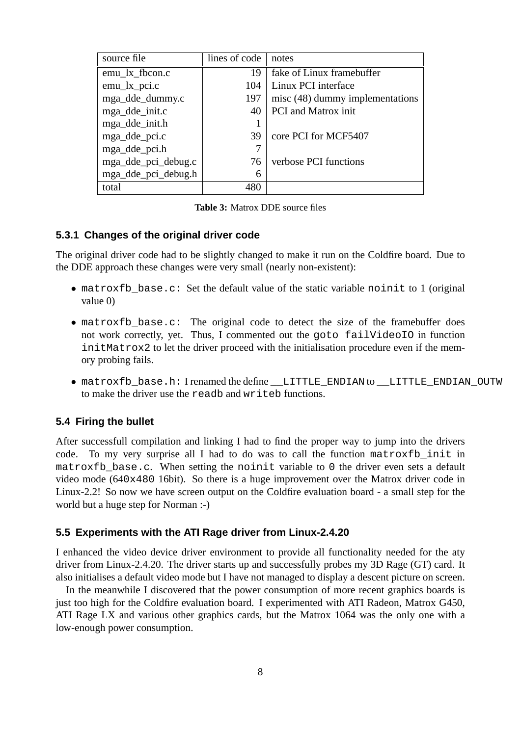| source file         | lines of code | notes                           |
|---------------------|---------------|---------------------------------|
| emu_lx_fbcon.c      | 19            | fake of Linux framebuffer       |
| $emu_l x_p$ ci.c    | 104           | Linux PCI interface             |
| mga_dde_dummy.c     | 197           | misc (48) dummy implementations |
| mga_dde_init.c      | 40            | <b>PCI</b> and Matrox init      |
| mga_dde_init.h      |               |                                 |
| mga_dde_pci.c       | 39            | core PCI for MCF5407            |
| mga_dde_pci.h       |               |                                 |
| mga_dde_pci_debug.c | 76            | verbose PCI functions           |
| mga_dde_pci_debug.h | 6             |                                 |
| total               | 480           |                                 |

**Table 3:** Matrox DDE source files

#### **5.3.1 Changes of the original driver code**

The original driver code had to be slightly changed to make it run on the Coldfire board. Due to the DDE approach these changes were very small (nearly non-existent):

- matroxfb\_base.c: Set the default value of the static variable noinit to 1 (original value 0)
- matroxfb\_base.c: The original code to detect the size of the framebuffer does not work correctly, yet. Thus, I commented out the goto failVideoIO in function initMatrox2 to let the driver proceed with the initialisation procedure even if the memory probing fails.
- matroxfb\_base.h: I renamed the define \_\_LITTLE\_ENDIAN to \_\_LITTLE\_ENDIAN\_OUTW to make the driver use the readb and writeb functions.

#### **5.4 Firing the bullet**

After successfull compilation and linking I had to find the proper way to jump into the drivers code. To my very surprise all I had to do was to call the function matroxfb\_init in matroxfb base.c. When setting the noinit variable to 0 the driver even sets a default video mode (640x480 16bit). So there is a huge improvement over the Matrox driver code in Linux-2.2! So now we have screen output on the Coldfire evaluation board - a small step for the world but a huge step for Norman :-)

#### **5.5 Experiments with the ATI Rage driver from Linux-2.4.20**

I enhanced the video device driver environment to provide all functionality needed for the aty driver from Linux-2.4.20. The driver starts up and successfully probes my 3D Rage (GT) card. It also initialises a default video mode but I have not managed to display a descent picture on screen.

In the meanwhile I discovered that the power consumption of more recent graphics boards is just too high for the Coldfire evaluation board. I experimented with ATI Radeon, Matrox G450, ATI Rage LX and various other graphics cards, but the Matrox 1064 was the only one with a low-enough power consumption.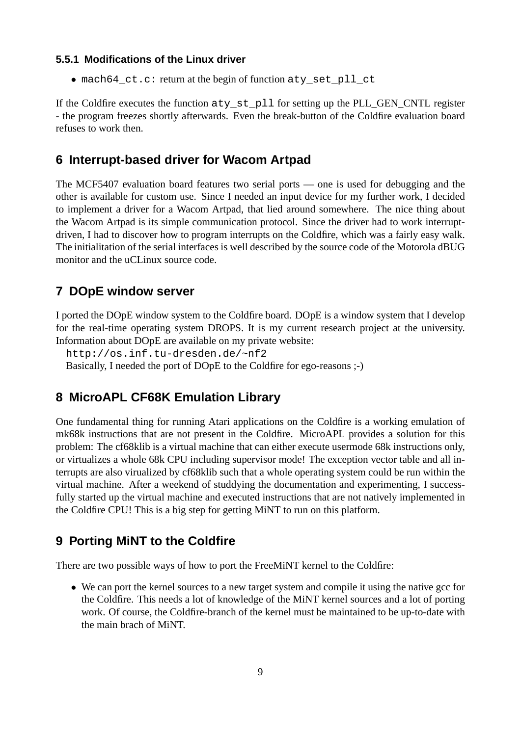## **5.5.1 Modifications of the Linux driver**

• mach64\_ct.c: return at the begin of function aty\_set\_pll\_ct

If the Coldfire executes the function aty\_st\_pll for setting up the PLL\_GEN\_CNTL register - the program freezes shortly afterwards. Even the break-button of the Coldfire evaluation board refuses to work then.

## **6 Interrupt-based driver for Wacom Artpad**

The MCF5407 evaluation board features two serial ports — one is used for debugging and the other is available for custom use. Since I needed an input device for my further work, I decided to implement a driver for a Wacom Artpad, that lied around somewhere. The nice thing about the Wacom Artpad is its simple communication protocol. Since the driver had to work interruptdriven, I had to discover how to program interrupts on the Coldfire, which was a fairly easy walk. The initialitation of the serial interfaces is well described by the source code of the Motorola dBUG monitor and the uCLinux source code.

# **7 DOpE window server**

I ported the DOpE window system to the Coldfire board. DOpE is a window system that I develop for the real-time operating system DROPS. It is my current research project at the university. Information about DOpE are available on my private website:

http://os.inf.tu-dresden.de/~nf2

Basically, I needed the port of DOpE to the Coldfire for ego-reasons ;-)

## **8 MicroAPL CF68K Emulation Library**

One fundamental thing for running Atari applications on the Coldfire is a working emulation of mk68k instructions that are not present in the Coldfire. MicroAPL provides a solution for this problem: The cf68klib is a virtual machine that can either execute usermode 68k instructions only, or virtualizes a whole 68k CPU including supervisor mode! The exception vector table and all interrupts are also virualized by cf68klib such that a whole operating system could be run within the virtual machine. After a weekend of studdying the documentation and experimenting, I successfully started up the virtual machine and executed instructions that are not natively implemented in the Coldfire CPU! This is a big step for getting MiNT to run on this platform.

# **9 Porting MiNT to the Coldfire**

There are two possible ways of how to port the FreeMiNT kernel to the Coldfire:

• We can port the kernel sources to a new target system and compile it using the native gcc for the Coldfire. This needs a lot of knowledge of the MiNT kernel sources and a lot of porting work. Of course, the Coldfire-branch of the kernel must be maintained to be up-to-date with the main brach of MiNT.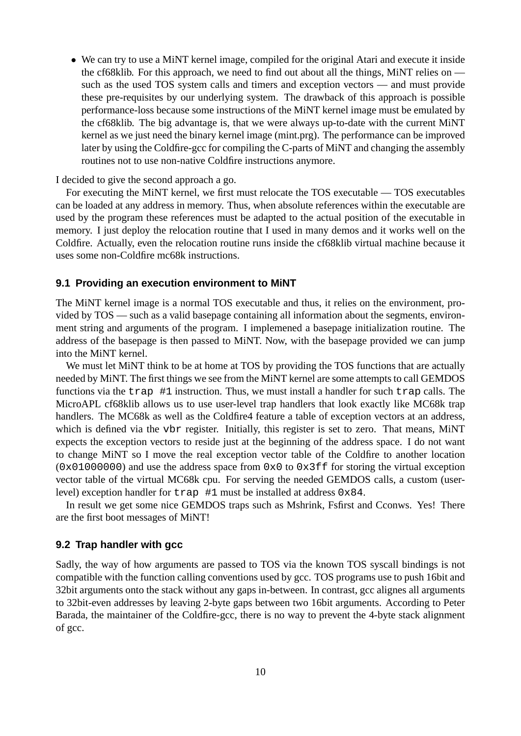• We can try to use a MiNT kernel image, compiled for the original Atari and execute it inside the cf68klib. For this approach, we need to find out about all the things, MiNT relies on such as the used TOS system calls and timers and exception vectors — and must provide these pre-requisites by our underlying system. The drawback of this approach is possible performance-loss because some instructions of the MiNT kernel image must be emulated by the cf68klib. The big advantage is, that we were always up-to-date with the current MiNT kernel as we just need the binary kernel image (mint.prg). The performance can be improved later by using the Coldfire-gcc for compiling the C-parts of MiNT and changing the assembly routines not to use non-native Coldfire instructions anymore.

I decided to give the second approach a go.

For executing the MiNT kernel, we first must relocate the TOS executable — TOS executables can be loaded at any address in memory. Thus, when absolute references within the executable are used by the program these references must be adapted to the actual position of the executable in memory. I just deploy the relocation routine that I used in many demos and it works well on the Coldfire. Actually, even the relocation routine runs inside the cf68klib virtual machine because it uses some non-Coldfire mc68k instructions.

## **9.1 Providing an execution environment to MiNT**

The MiNT kernel image is a normal TOS executable and thus, it relies on the environment, provided by TOS — such as a valid basepage containing all information about the segments, environment string and arguments of the program. I implemened a basepage initialization routine. The address of the basepage is then passed to MiNT. Now, with the basepage provided we can jump into the MiNT kernel.

We must let MiNT think to be at home at TOS by providing the TOS functions that are actually needed by MiNT. The first things we see from the MiNT kernel are some attempts to call GEMDOS functions via the trap #1 instruction. Thus, we must install a handler for such trap calls. The MicroAPL cf68klib allows us to use user-level trap handlers that look exactly like MC68k trap handlers. The MC68k as well as the Coldfire4 feature a table of exception vectors at an address, which is defined via the vbr register. Initially, this register is set to zero. That means, MiNT expects the exception vectors to reside just at the beginning of the address space. I do not want to change MiNT so I move the real exception vector table of the Coldfire to another location  $(0x01000000)$  and use the address space from  $0x0$  to  $0x3ff$  for storing the virtual exception vector table of the virtual MC68k cpu. For serving the needed GEMDOS calls, a custom (userlevel) exception handler for  $trap \#1$  must be installed at address  $0 \times 84$ .

In result we get some nice GEMDOS traps such as Mshrink, Fsfirst and Cconws. Yes! There are the first boot messages of MiNT!

## **9.2 Trap handler with gcc**

Sadly, the way of how arguments are passed to TOS via the known TOS syscall bindings is not compatible with the function calling conventions used by gcc. TOS programs use to push 16bit and 32bit arguments onto the stack without any gaps in-between. In contrast, gcc alignes all arguments to 32bit-even addresses by leaving 2-byte gaps between two 16bit arguments. According to Peter Barada, the maintainer of the Coldfire-gcc, there is no way to prevent the 4-byte stack alignment of gcc.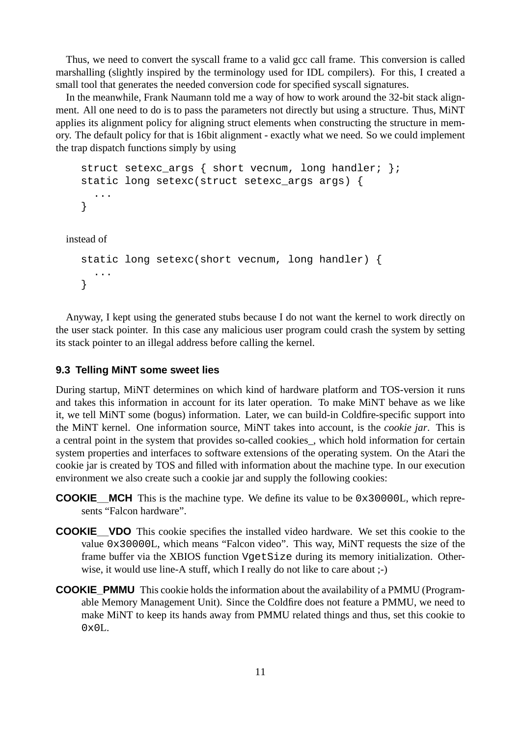Thus, we need to convert the syscall frame to a valid gcc call frame. This conversion is called marshalling (slightly inspired by the terminology used for IDL compilers). For this, I created a small tool that generates the needed conversion code for specified syscall signatures.

In the meanwhile, Frank Naumann told me a way of how to work around the 32-bit stack alignment. All one need to do is to pass the parameters not directly but using a structure. Thus, MiNT applies its alignment policy for aligning struct elements when constructing the structure in memory. The default policy for that is 16bit alignment - exactly what we need. So we could implement the trap dispatch functions simply by using

```
struct setexc args { short vecnum, long handler; };
  static long setexc(struct setexc_args args) {
    ...
  }
instead of
  static long setexc(short vecnum, long handler) {
    ...
  }
```
Anyway, I kept using the generated stubs because I do not want the kernel to work directly on the user stack pointer. In this case any malicious user program could crash the system by setting its stack pointer to an illegal address before calling the kernel.

#### **9.3 Telling MiNT some sweet lies**

During startup, MiNT determines on which kind of hardware platform and TOS-version it runs and takes this information in account for its later operation. To make MiNT behave as we like it, we tell MiNT some (bogus) information. Later, we can build-in Coldfire-specific support into the MiNT kernel. One information source, MiNT takes into account, is the *cookie jar*. This is a central point in the system that provides so-called cookies\_, which hold information for certain system properties and interfaces to software extensions of the operating system. On the Atari the cookie jar is created by TOS and filled with information about the machine type. In our execution environment we also create such a cookie jar and supply the following cookies:

- **COOKIE\_\_MCH** This is the machine type. We define its value to be 0x30000L, which represents "Falcon hardware".
- **COOKIE** VDO This cookie specifies the installed video hardware. We set this cookie to the value 0x30000L, which means "Falcon video". This way, MiNT requests the size of the frame buffer via the XBIOS function VgetSize during its memory initialization. Otherwise, it would use line-A stuff, which I really do not like to care about  $;$ -)
- **COOKIE\_PMMU** This cookie holds the information about the availability of a PMMU (Programable Memory Management Unit). Since the Coldfire does not feature a PMMU, we need to make MiNT to keep its hands away from PMMU related things and thus, set this cookie to  $0 \times 0$ L.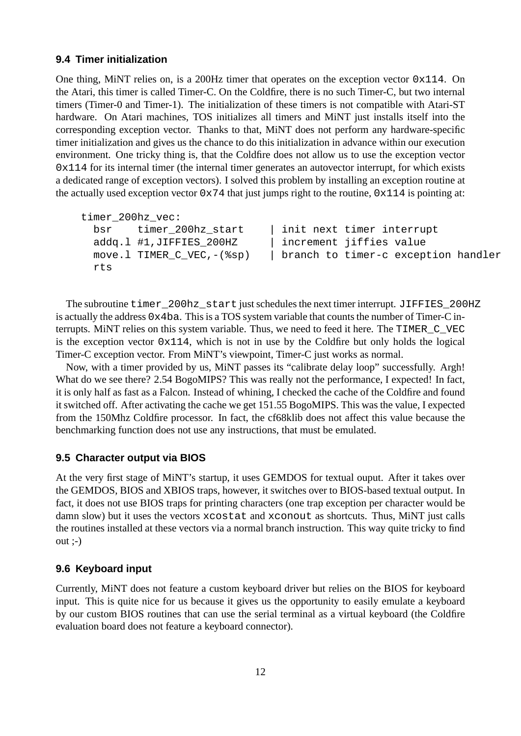## **9.4 Timer initialization**

One thing, MiNT relies on, is a 200Hz timer that operates on the exception vector  $0x114$ . On the Atari, this timer is called Timer-C. On the Coldfire, there is no such Timer-C, but two internal timers (Timer-0 and Timer-1). The initialization of these timers is not compatible with Atari-ST hardware. On Atari machines, TOS initializes all timers and MiNT just installs itself into the corresponding exception vector. Thanks to that, MiNT does not perform any hardware-specific timer initialization and gives us the chance to do this initialization in advance within our execution environment. One tricky thing is, that the Coldfire does not allow us to use the exception vector 0x114 for its internal timer (the internal timer generates an autovector interrupt, for which exists a dedicated range of exception vectors). I solved this problem by installing an exception routine at the actually used exception vector  $0 \times 74$  that just jumps right to the routine,  $0 \times 114$  is pointing at:

```
timer_200hz_vec:
 bsr timer 200hz start | init next timer interrupt
 addq.l #1,JIFFIES_200HZ | increment jiffies value
 move.l TIMER_C_VEC,-(%sp) | branch to timer-c exception handler
 rts
```
The subroutine timer\_200hz\_start just schedules the next timer interrupt. JIFFIES\_200HZ is actually the address 0x4ba. This is a TOS system variable that counts the number of Timer-C interrupts. MiNT relies on this system variable. Thus, we need to feed it here. The TIMER\_C\_VEC is the exception vector  $0x114$ , which is not in use by the Coldfire but only holds the logical Timer-C exception vector. From MiNT's viewpoint, Timer-C just works as normal.

Now, with a timer provided by us, MiNT passes its "calibrate delay loop" successfully. Argh! What do we see there? 2.54 BogoMIPS? This was really not the performance, I expected! In fact, it is only half as fast as a Falcon. Instead of whining, I checked the cache of the Coldfire and found it switched off. After activating the cache we get 151.55 BogoMIPS. This was the value, I expected from the 150Mhz Coldfire processor. In fact, the cf68klib does not affect this value because the benchmarking function does not use any instructions, that must be emulated.

## **9.5 Character output via BIOS**

At the very first stage of MiNT's startup, it uses GEMDOS for textual ouput. After it takes over the GEMDOS, BIOS and XBIOS traps, however, it switches over to BIOS-based textual output. In fact, it does not use BIOS traps for printing characters (one trap exception per character would be damn slow) but it uses the vectors xcostat and xconout as shortcuts. Thus, MiNT just calls the routines installed at these vectors via a normal branch instruction. This way quite tricky to find  $out$   $:-)$ 

## **9.6 Keyboard input**

Currently, MiNT does not feature a custom keyboard driver but relies on the BIOS for keyboard input. This is quite nice for us because it gives us the opportunity to easily emulate a keyboard by our custom BIOS routines that can use the serial terminal as a virtual keyboard (the Coldfire evaluation board does not feature a keyboard connector).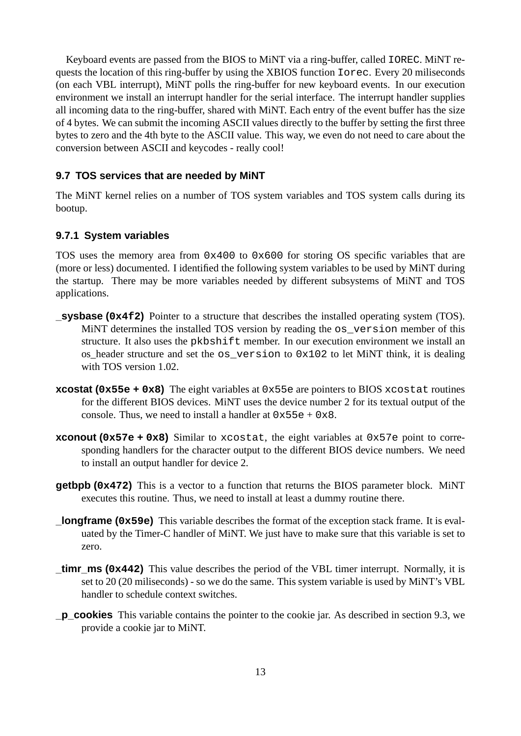Keyboard events are passed from the BIOS to MiNT via a ring-buffer, called IOREC. MiNT requests the location of this ring-buffer by using the XBIOS function Iorec. Every 20 miliseconds (on each VBL interrupt), MiNT polls the ring-buffer for new keyboard events. In our execution environment we install an interrupt handler for the serial interface. The interrupt handler supplies all incoming data to the ring-buffer, shared with MiNT. Each entry of the event buffer has the size of 4 bytes. We can submit the incoming ASCII values directly to the buffer by setting the first three bytes to zero and the 4th byte to the ASCII value. This way, we even do not need to care about the conversion between ASCII and keycodes - really cool!

#### **9.7 TOS services that are needed by MiNT**

The MiNT kernel relies on a number of TOS system variables and TOS system calls during its bootup.

## **9.7.1 System variables**

TOS uses the memory area from  $0 \times 400$  to  $0 \times 600$  for storing OS specific variables that are (more or less) documented. I identified the following system variables to be used by MiNT during the startup. There may be more variables needed by different subsystems of MiNT and TOS applications.

- **\_sysbase (0x4f2)** Pointer to a structure that describes the installed operating system (TOS). MiNT determines the installed TOS version by reading the os\_version member of this structure. It also uses the pkbshift member. In our execution environment we install an os\_header structure and set the os\_version to 0x102 to let MiNT think, it is dealing with TOS version 1.02.
- **xcostat (0x55e + 0x8)** The eight variables at 0x55e are pointers to BIOS xcostat routines for the different BIOS devices. MiNT uses the device number 2 for its textual output of the console. Thus, we need to install a handler at  $0 \times 55e + 0 \times 8$ .
- **xconout (0x57e + 0x8)** Similar to xcostat, the eight variables at 0x57e point to corresponding handlers for the character output to the different BIOS device numbers. We need to install an output handler for device 2.
- **getbpb (0x472)** This is a vector to a function that returns the BIOS parameter block. MiNT executes this routine. Thus, we need to install at least a dummy routine there.
- **\_longframe (0x59e)** This variable describes the format of the exception stack frame. It is evaluated by the Timer-C handler of MiNT. We just have to make sure that this variable is set to zero.
- **timr ms (0x442)** This value describes the period of the VBL timer interrupt. Normally, it is set to 20 (20 miliseconds) - so we do the same. This system variable is used by MiNT's VBL handler to schedule context switches.
- **\_p\_cookies** This variable contains the pointer to the cookie jar. As described in section 9.3, we provide a cookie jar to MiNT.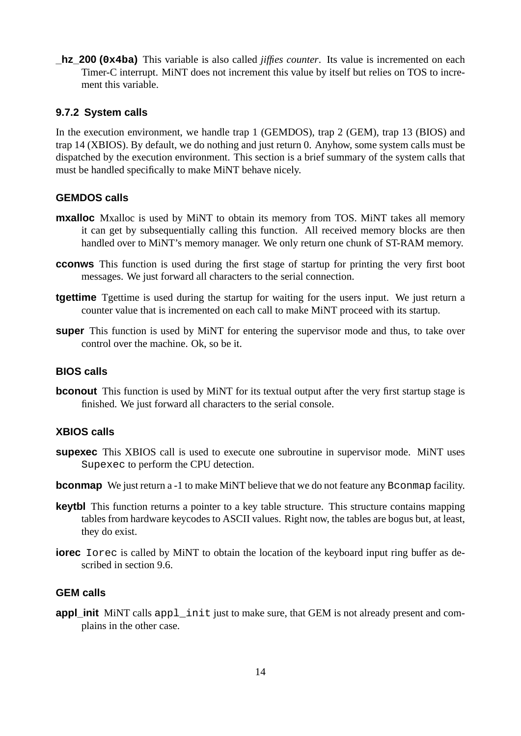**\_hz\_200 (0x4ba)** This variable is also called *jiffies counter*. Its value is incremented on each Timer-C interrupt. MiNT does not increment this value by itself but relies on TOS to increment this variable.

## **9.7.2 System calls**

In the execution environment, we handle trap 1 (GEMDOS), trap 2 (GEM), trap 13 (BIOS) and trap 14 (XBIOS). By default, we do nothing and just return 0. Anyhow, some system calls must be dispatched by the execution environment. This section is a brief summary of the system calls that must be handled specifically to make MiNT behave nicely.

## **GEMDOS calls**

- **mxalloc** Mxalloc is used by MiNT to obtain its memory from TOS. MiNT takes all memory it can get by subsequentially calling this function. All received memory blocks are then handled over to MiNT's memory manager. We only return one chunk of ST-RAM memory.
- **cconws** This function is used during the first stage of startup for printing the very first boot messages. We just forward all characters to the serial connection.
- **tgettime** Tgettime is used during the startup for waiting for the users input. We just return a counter value that is incremented on each call to make MiNT proceed with its startup.
- **super** This function is used by MiNT for entering the supervisor mode and thus, to take over control over the machine. Ok, so be it.

## **BIOS calls**

**bconout** This function is used by MiNT for its textual output after the very first startup stage is finished. We just forward all characters to the serial console.

#### **XBIOS calls**

- **supexec** This XBIOS call is used to execute one subroutine in supervisor mode. MiNT uses Supexec to perform the CPU detection.
- **bconmap** We just return a -1 to make MiNT believe that we do not feature any Bconmap facility.
- **keytbl** This function returns a pointer to a key table structure. This structure contains mapping tables from hardware keycodes to ASCII values. Right now, the tables are bogus but, at least, they do exist.
- **iorec** Iorec is called by MiNT to obtain the location of the keyboard input ring buffer as described in section 9.6.

## **GEM calls**

**appl\_init** MiNT calls appl\_init just to make sure, that GEM is not already present and complains in the other case.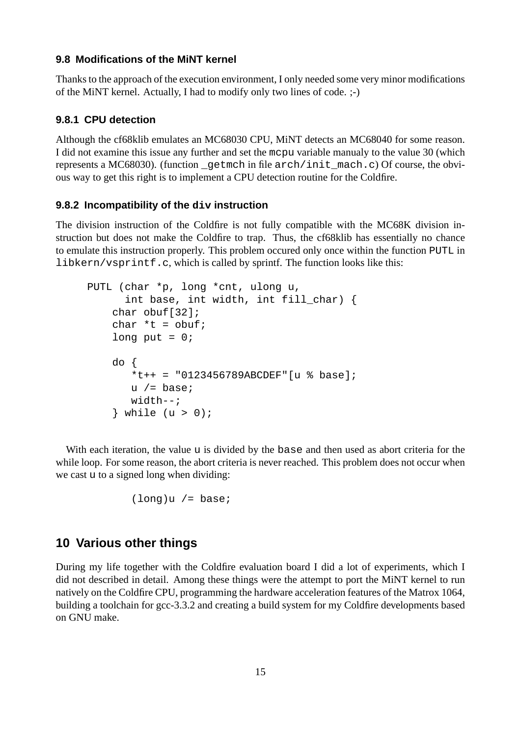#### **9.8 Modifications of the MiNT kernel**

Thanks to the approach of the execution environment, I only needed some very minor modifications of the MiNT kernel. Actually, I had to modify only two lines of code. ;-)

## **9.8.1 CPU detection**

Although the cf68klib emulates an MC68030 CPU, MiNT detects an MC68040 for some reason. I did not examine this issue any further and set the mcpu variable manualy to the value 30 (which represents a MC68030). (function \_getmch in file arch/init\_mach.c) Of course, the obvious way to get this right is to implement a CPU detection routine for the Coldfire.

#### **9.8.2 Incompatibility of the div instruction**

The division instruction of the Coldfire is not fully compatible with the MC68K division instruction but does not make the Coldfire to trap. Thus, the cf68klib has essentially no chance to emulate this instruction properly. This problem occured only once within the function PUTL in libkern/vsprintf.c, which is called by sprintf. The function looks like this:

```
PUTL (char *p, long *cnt, ulong u,
      int base, int width, int fill_char) {
    char obuf[32];
    char *t = obuf;long put = 0;
    do {
       *t++ = "0123456789ABCDEF" [u % base];u / = base;
       width--;
    } while (u > 0);
```
With each iteration, the value u is divided by the base and then used as abort criteria for the while loop. For some reason, the abort criteria is never reached. This problem does not occur when we cast u to a signed long when dividing:

 $(long)u$  /= base;

## **10 Various other things**

During my life together with the Coldfire evaluation board I did a lot of experiments, which I did not described in detail. Among these things were the attempt to port the MiNT kernel to run natively on the Coldfire CPU, programming the hardware acceleration features of the Matrox 1064, building a toolchain for gcc-3.3.2 and creating a build system for my Coldfire developments based on GNU make.